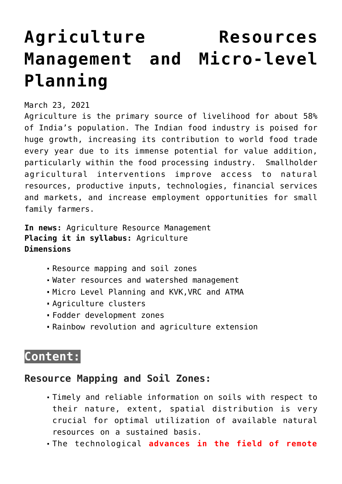# **[Agriculture Resources](https://journalsofindia.com/agriculture-resources-management-and-micro-level-planning/) [Management and Micro-level](https://journalsofindia.com/agriculture-resources-management-and-micro-level-planning/) [Planning](https://journalsofindia.com/agriculture-resources-management-and-micro-level-planning/)**

## March 23, 2021

Agriculture is the primary source of livelihood for about 58% of India's population. The Indian food industry is poised for huge growth, increasing its contribution to world food trade every year due to its immense potential for value addition, particularly within the food processing industry. Smallholder agricultural interventions improve access to natural resources, productive inputs, technologies, financial services and markets, and increase employment opportunities for small family farmers.

**In news:** Agriculture Resource Management **Placing it in syllabus:** Agriculture **Dimensions**

- Resource mapping and soil zones
- Water resources and watershed management
- Micro Level Planning and KVK,VRC and ATMA
- Agriculture clusters
- Fodder development zones
- Rainbow revolution and agriculture extension

# **Content:**

## **Resource Mapping and Soil Zones:**

- Timely and reliable information on soils with respect to their nature, extent, spatial distribution is very crucial for optimal utilization of available natural resources on a sustained basis.
- The technological **advances in the field of remote**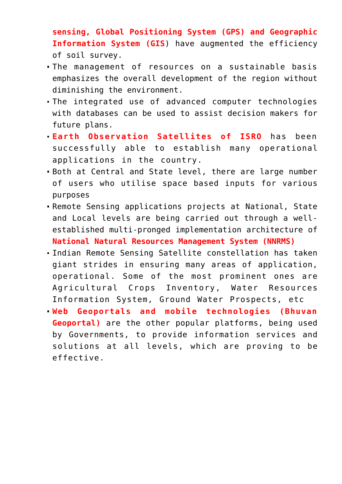**sensing, Global Positioning System (GPS) and Geographic Information System (GIS**) have augmented the efficiency of soil survey.

- The management of resources on a sustainable basis emphasizes the overall development of the region without diminishing the environment.
- The integrated use of advanced computer technologies with databases can be used to assist decision makers for future plans.
- **Earth Observation Satellites of ISRO** has been successfully able to establish many operational applications in the country.
- Both at Central and State level, there are large number of users who utilise space based inputs for various purposes
- Remote Sensing applications projects at National, State and Local levels are being carried out through a wellestablished multi-pronged implementation architecture of **National Natural Resources Management System (NNRMS)**
- Indian Remote Sensing Satellite constellation has taken giant strides in ensuring many areas of application, operational. Some of the most prominent ones are Agricultural Crops Inventory, Water Resources Information System, Ground Water Prospects, etc
- **Web Geoportals and mobile technologies (Bhuvan Geoportal)** are the other popular platforms, being used by Governments, to provide information services and solutions at all levels, which are proving to be effective.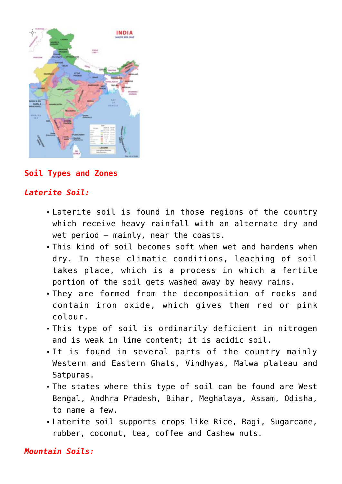

## **Soil Types and Zones**

## *Laterite Soil:*

- Laterite soil is found in those regions of the country which receive heavy rainfall with an alternate dry and wet period – mainly, near the coasts.
- This kind of soil becomes soft when wet and hardens when dry. In these climatic conditions, leaching of soil takes place, which is a process in which a fertile portion of the soil gets washed away by heavy rains.
- They are formed from the decomposition of rocks and contain iron oxide, which gives them red or pink colour.
- This type of soil is ordinarily deficient in nitrogen and is weak in lime content; it is acidic soil.
- It is found in several parts of the country mainly Western and Eastern Ghats, Vindhyas, Malwa plateau and Satpuras.
- The states where this type of soil can be found are West Bengal, Andhra Pradesh, Bihar, Meghalaya, Assam, Odisha, to name a few.
- Laterite soil supports crops like Rice, Ragi, Sugarcane, rubber, coconut, tea, coffee and Cashew nuts.

## *Mountain Soils:*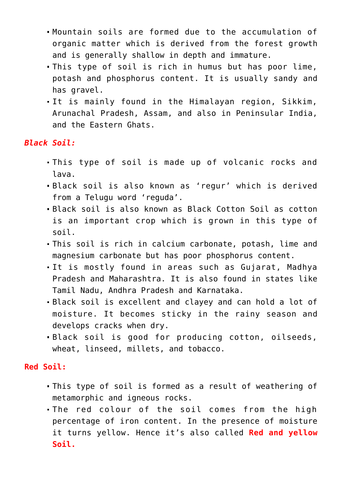- Mountain soils are formed due to the accumulation of organic matter which is derived from the forest growth and is generally shallow in depth and immature.
- This type of soil is rich in humus but has poor lime, potash and phosphorus content. It is usually sandy and has gravel.
- It is mainly found in the Himalayan region, Sikkim, Arunachal Pradesh, Assam, and also in Peninsular India, and the Eastern Ghats.

## *Black Soil:*

- This type of soil is made up of volcanic rocks and lava.
- Black soil is also known as 'regur' which is derived from a Telugu word 'reguda'.
- Black soil is also known as Black Cotton Soil as cotton is an important crop which is grown in this type of soil.
- This soil is rich in calcium carbonate, potash, lime and magnesium carbonate but has poor phosphorus content.
- It is mostly found in areas such as Gujarat, Madhya Pradesh and Maharashtra. It is also found in states like Tamil Nadu, Andhra Pradesh and Karnataka.
- Black soil is excellent and clayey and can hold a lot of moisture. It becomes sticky in the rainy season and develops cracks when dry.
- Black soil is good for producing cotton, oilseeds, wheat, linseed, millets, and tobacco.

## **Red Soil:**

- This type of soil is formed as a result of weathering of metamorphic and igneous rocks.
- The red colour of the soil comes from the high percentage of iron content. In the presence of moisture it turns yellow. Hence it's also called **Red and yellow Soil.**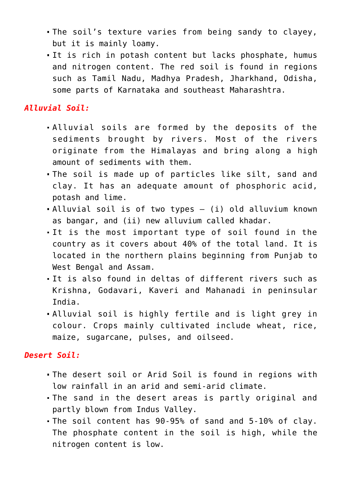- The soil's texture varies from being sandy to clayey, but it is mainly loamy.
- It is rich in potash content but lacks phosphate, humus and nitrogen content. The red soil is found in regions such as Tamil Nadu, Madhya Pradesh, Jharkhand, Odisha, some parts of Karnataka and southeast Maharashtra.

## *Alluvial Soil:*

- Alluvial soils are formed by the deposits of the sediments brought by rivers. Most of the rivers originate from the Himalayas and bring along a high amount of sediments with them.
- The soil is made up of particles like silt, sand and clay. It has an adequate amount of phosphoric acid, potash and lime.
- Alluvial soil is of two types (i) old alluvium known as bangar, and (ii) new alluvium called khadar.
- It is the most important type of soil found in the country as it covers about 40% of the total land. It is located in the northern plains beginning from Punjab to West Bengal and Assam.
- It is also found in deltas of different rivers such as Krishna, Godavari, Kaveri and Mahanadi in peninsular India.
- Alluvial soil is highly fertile and is light grey in colour. Crops mainly cultivated include wheat, rice, maize, sugarcane, pulses, and oilseed.

## *Desert Soil:*

- The desert soil or Arid Soil is found in regions with low rainfall in an arid and semi-arid climate.
- The sand in the desert areas is partly original and partly blown from Indus Valley.
- The soil content has 90-95% of sand and 5-10% of clay. The phosphate content in the soil is high, while the nitrogen content is low.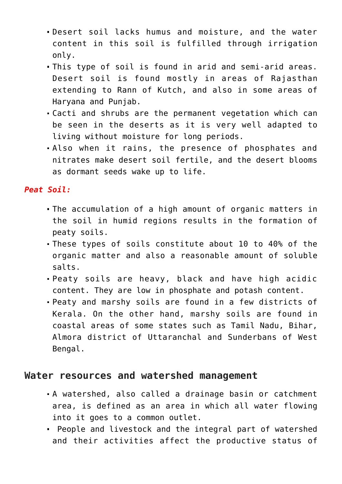- Desert soil lacks humus and moisture, and the water content in this soil is fulfilled through irrigation only.
- This type of soil is found in arid and semi-arid areas. Desert soil is found mostly in areas of Rajasthan extending to Rann of Kutch, and also in some areas of Haryana and Punjab.
- Cacti and shrubs are the permanent vegetation which can be seen in the deserts as it is very well adapted to living without moisture for long periods.
- Also when it rains, the presence of phosphates and nitrates make desert soil fertile, and the desert blooms as dormant seeds wake up to life.

## *Peat Soil:*

- The accumulation of a high amount of organic matters in the soil in humid regions results in the formation of peaty soils.
- These types of soils constitute about 10 to 40% of the organic matter and also a reasonable amount of soluble salts.
- Peaty soils are heavy, black and have high acidic content. They are low in phosphate and potash content.
- Peaty and marshy soils are found in a few districts of Kerala. On the other hand, marshy soils are found in coastal areas of some states such as Tamil Nadu, Bihar, Almora district of Uttaranchal and Sunderbans of West Bengal.

## **Water resources and watershed management**

- A watershed, also called a drainage basin or catchment area, is defined as an area in which all water flowing into it goes to a common outlet.
- People and livestock and the integral part of watershed and their activities affect the productive status of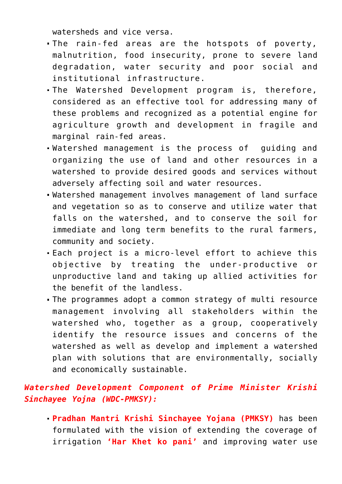watersheds and vice versa.

- The rain-fed areas are the hotspots of poverty, malnutrition, food insecurity, prone to severe land degradation, water security and poor social and institutional infrastructure.
- The Watershed Development program is, therefore, considered as an effective tool for addressing many of these problems and recognized as a potential engine for agriculture growth and development in fragile and marginal rain-fed areas.
- Watershed management is the process of guiding and organizing the use of land and other resources in a watershed to provide desired goods and services without adversely affecting soil and water resources.
- Watershed management involves management of land surface and vegetation so as to conserve and utilize water that falls on the watershed, and to conserve the soil for immediate and long term benefits to the rural farmers, community and society.
- Each project is a micro-level effort to achieve this objective by treating the under-productive or unproductive land and taking up allied activities for the benefit of the landless.
- The programmes adopt a common strategy of multi resource management involving all stakeholders within the watershed who, together as a group, cooperatively identify the resource issues and concerns of the watershed as well as develop and implement a watershed plan with solutions that are environmentally, socially and economically sustainable.

## *Watershed Development Component of Prime Minister Krishi Sinchayee Yojna (WDC-PMKSY):*

**Pradhan Mantri Krishi Sinchayee Yojana (PMKSY)** has been formulated with the vision of extending the coverage of irrigation **'Har Khet ko pani'** and improving water use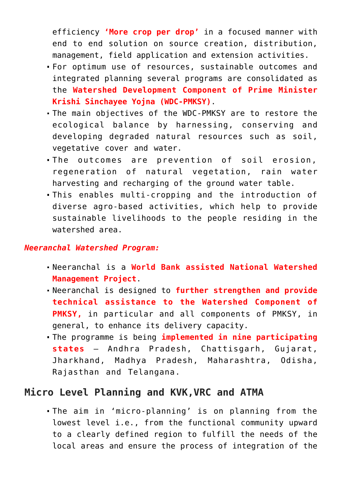efficiency **'More crop per drop'** in a focused manner with end to end solution on source creation, distribution, management, field application and extension activities.

- For optimum use of resources, sustainable outcomes and integrated planning several programs are consolidated as the **Watershed Development Component of Prime Minister Krishi Sinchayee Yojna (WDC-PMKSY)**.
- The main objectives of the WDC-PMKSY are to restore the ecological balance by harnessing, conserving and developing degraded natural resources such as soil, vegetative cover and water.
- The outcomes are prevention of soil erosion, regeneration of natural vegetation, rain water harvesting and recharging of the ground water table.
- This enables multi-cropping and the introduction of diverse agro-based activities, which help to provide sustainable livelihoods to the people residing in the watershed area.

## *Neeranchal Watershed Program:*

- Neeranchal is a **World Bank assisted National Watershed Management Project**.
- Neeranchal is designed to **further strengthen and provide technical assistance to the Watershed Component of PMKSY,** in particular and all components of PMKSY, in general, to enhance its delivery capacity.
- The programme is being **implemented in nine participating states** – Andhra Pradesh, Chattisgarh, Gujarat, Jharkhand, Madhya Pradesh, Maharashtra, Odisha, Rajasthan and Telangana.

## **Micro Level Planning and KVK,VRC and ATMA**

The aim in 'micro-planning' is on planning from the lowest level i.e., from the functional community upward to a clearly defined region to fulfill the needs of the local areas and ensure the process of integration of the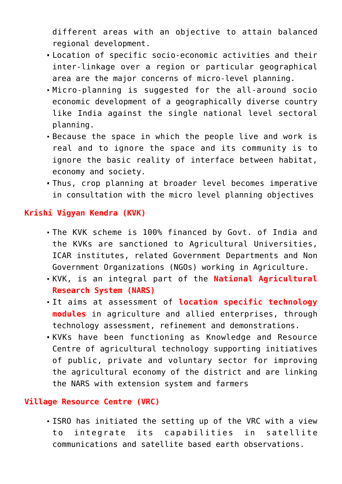different areas with an objective to attain balanced regional development.

- Location of specific socio-economic activities and their inter-linkage over a region or particular geographical area are the major concerns of micro-level planning.
- Micro-planning is suggested for the all-around socio economic development of a geographically diverse country like India against the single national level sectoral planning.
- Because the space in which the people live and work is real and to ignore the space and its community is to ignore the basic reality of interface between habitat, economy and society.
- Thus, crop planning at broader level becomes imperative in consultation with the micro level planning objectives

## **Krishi Vigyan Kendra (KVK)**

- The KVK scheme is 100% financed by Govt. of India and the KVKs are sanctioned to Agricultural Universities, ICAR institutes, related Government Departments and Non Government Organizations (NGOs) working in Agriculture.
- KVK, is an integral part of the **National Agricultural Research System (NARS)**
- It aims at assessment of **location specific technology modules** in agriculture and allied enterprises, through technology assessment, refinement and demonstrations.
- KVKs have been functioning as Knowledge and Resource Centre of agricultural technology supporting initiatives of public, private and voluntary sector for improving the agricultural economy of the district and are linking the NARS with extension system and farmers

## **Village Resource Centre (VRC)**

ISRO has initiated the setting up of the VRC with a view to integrate its capabilities in satellite communications and satellite based earth observations.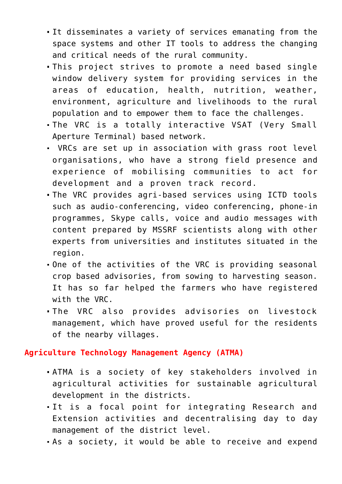- It disseminates a variety of services emanating from the space systems and other IT tools to address the changing and critical needs of the rural community.
- This project strives to promote a need based single window delivery system for providing services in the areas of education, health, nutrition, weather, environment, agriculture and livelihoods to the rural population and to empower them to face the challenges.
- The VRC is a totally interactive VSAT (Very Small Aperture Terminal) based network.
- VRCs are set up in association with grass root level organisations, who have a strong field presence and experience of mobilising communities to act for development and a proven track record.
- The VRC provides agri-based services using ICTD tools such as audio-conferencing, video conferencing, phone-in programmes, Skype calls, voice and audio messages with content prepared by MSSRF scientists along with other experts from universities and institutes situated in the region.
- One of the activities of the VRC is providing seasonal crop based advisories, from sowing to harvesting season. It has so far helped the farmers who have registered with the VRC.
- The VRC also provides advisories on livestock management, which have proved useful for the residents of the nearby villages.

**Agriculture Technology Management Agency (ATMA)**

- ATMA is a society of key stakeholders involved in agricultural activities for sustainable agricultural development in the districts.
- It is a focal point for integrating Research and Extension activities and decentralising day to day management of the district level.
- As a society, it would be able to receive and expend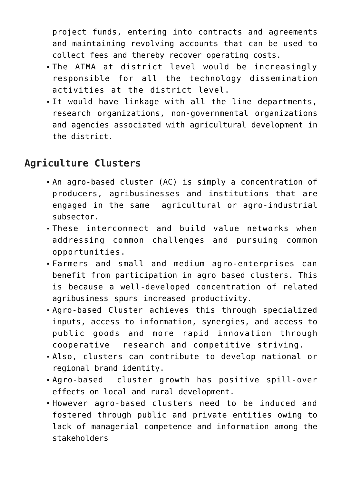project funds, entering into contracts and agreements and maintaining revolving accounts that can be used to collect fees and thereby recover operating costs.

- The ATMA at district level would be increasingly responsible for all the technology dissemination activities at the district level.
- It would have linkage with all the line departments, research organizations, non-governmental organizations and agencies associated with agricultural development in the district.

## **Agriculture Clusters**

- An agro-based cluster (AC) is simply a concentration of producers, agribusinesses and institutions that are engaged in the same agricultural or agro-industrial subsector.
- These interconnect and build value networks when addressing common challenges and pursuing common opportunities.
- Farmers and small and medium agro-enterprises can benefit from participation in agro based clusters. This is because a well-developed concentration of related agribusiness spurs increased productivity.
- Agro-based Cluster achieves this through specialized inputs, access to information, synergies, and access to public goods and more rapid innovation through cooperative research and competitive striving.
- Also, clusters can contribute to develop national or regional brand identity.
- Agro-based cluster growth has positive spill-over effects on local and rural development.
- However agro-based clusters need to be induced and fostered through public and private entities owing to lack of managerial competence and information among the stakeholders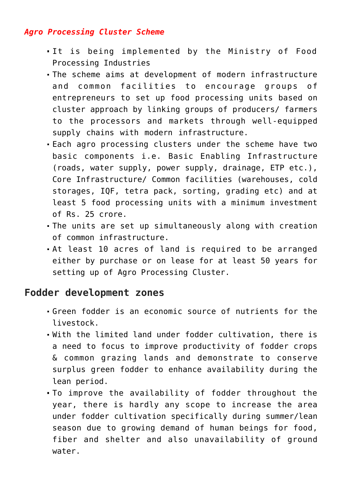## *Agro Processing Cluster Scheme*

- It is being implemented by the Ministry of Food Processing Industries
- The scheme aims at development of modern infrastructure and common facilities to encourage groups of entrepreneurs to set up food processing units based on cluster approach by linking groups of producers/ farmers to the processors and markets through well-equipped supply chains with modern infrastructure.
- Each agro processing clusters under the scheme have two basic components i.e. Basic Enabling Infrastructure (roads, water supply, power supply, drainage, ETP etc.), Core Infrastructure/ Common facilities (warehouses, cold storages, IQF, tetra pack, sorting, grading etc) and at least 5 food processing units with a minimum investment of Rs. 25 crore.
- The units are set up simultaneously along with creation of common infrastructure.
- At least 10 acres of land is required to be arranged either by purchase or on lease for at least 50 years for setting up of Agro Processing Cluster.

## **Fodder development zones**

- Green fodder is an economic source of nutrients for the livestock.
- With the limited land under fodder cultivation, there is a need to focus to improve productivity of fodder crops & common grazing lands and demonstrate to conserve surplus green fodder to enhance availability during the lean period.
- To improve the availability of fodder throughout the year, there is hardly any scope to increase the area under fodder cultivation specifically during summer/lean season due to growing demand of human beings for food, fiber and shelter and also unavailability of ground water.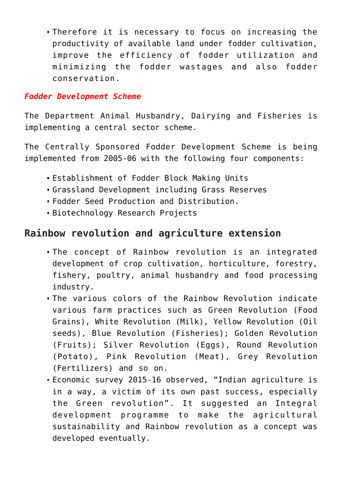Therefore it is necessary to focus on increasing the productivity of available land under fodder cultivation, improve the efficiency of fodder utilization and minimizing the fodder wastages and also fodder conservation.

## *Fodder Development Scheme*

The Department Animal Husbandry, Dairying and Fisheries is implementing a central sector scheme.

The Centrally Sponsored Fodder Development Scheme is being implemented from 2005-06 with the following four components:

- Establishment of Fodder Block Making Units
- Grassland Development including Grass Reserves
- Fodder Seed Production and Distribution.
- Biotechnology Research Projects

# **Rainbow revolution and agriculture extension**

- The concept of Rainbow revolution is an integrated development of crop cultivation, horticulture, forestry, fishery, poultry, animal husbandry and food processing industry.
- The various colors of the Rainbow Revolution indicate various farm practices such as Green Revolution (Food Grains), White Revolution (Milk), Yellow Revolution (Oil seeds), Blue Revolution (Fisheries); Golden Revolution (Fruits); Silver Revolution (Eggs), Round Revolution (Potato), Pink Revolution (Meat), Grey Revolution (Fertilizers) and so on.
- Economic survey 2015-16 observed, "Indian agriculture is in a way, a victim of its own past success, especially the Green revolution". It suggested an Integral development programme to make the agricultural sustainability and Rainbow revolution as a concept was developed eventually.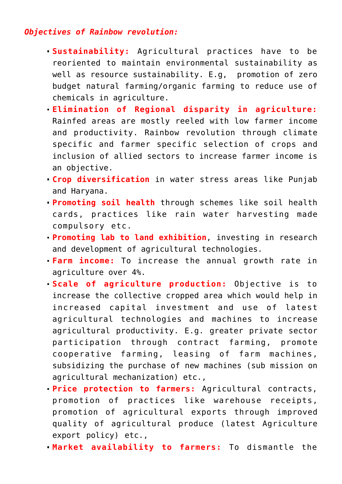## *Objectives of Rainbow revolution:*

- **Sustainability:** Agricultural practices have to be reoriented to maintain environmental sustainability as well as resource sustainability. E.g, promotion of zero budget natural farming/organic farming to reduce use of chemicals in agriculture.
- **Elimination of Regional disparity in agriculture:** Rainfed areas are mostly reeled with low farmer income and productivity. Rainbow revolution through climate specific and farmer specific selection of crops and inclusion of allied sectors to increase farmer income is an objective.
- **Crop diversification** in water stress areas like Punjab and Haryana.
- **Promoting soil health** through schemes like soil health cards, practices like rain water harvesting made compulsory etc.
- **Promoting lab to land exhibition**, investing in research and development of agricultural technologies.
- **Farm income:** To increase the annual growth rate in agriculture over 4%.
- **Scale of agriculture production:** Objective is to increase the collective cropped area which would help in increased capital investment and use of latest agricultural technologies and machines to increase agricultural productivity. E.g. greater private sector participation through contract farming, promote cooperative farming, leasing of farm machines, subsidizing the purchase of new machines (sub mission on agricultural mechanization) etc.,
- **Price protection to farmers:** Agricultural contracts, promotion of practices like warehouse receipts, promotion of agricultural exports through improved quality of agricultural produce (latest Agriculture export policy) etc.,
- **Market availability to farmers:** To dismantle the